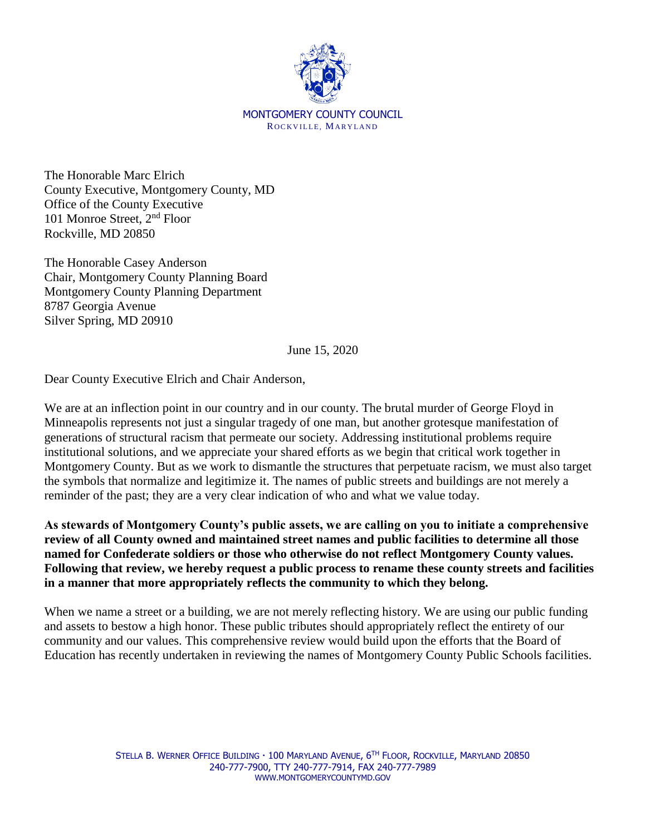

The Honorable Marc Elrich County Executive, Montgomery County, MD Office of the County Executive 101 Monroe Street, 2nd Floor Rockville, MD 20850

The Honorable Casey Anderson Chair, Montgomery County Planning Board Montgomery County Planning Department 8787 Georgia Avenue Silver Spring, MD 20910

June 15, 2020

Dear County Executive Elrich and Chair Anderson,

We are at an inflection point in our country and in our county. The brutal murder of George Floyd in Minneapolis represents not just a singular tragedy of one man, but another grotesque manifestation of generations of structural racism that permeate our society. Addressing institutional problems require institutional solutions, and we appreciate your shared efforts as we begin that critical work together in Montgomery County. But as we work to dismantle the structures that perpetuate racism, we must also target the symbols that normalize and legitimize it. The names of public streets and buildings are not merely a reminder of the past; they are a very clear indication of who and what we value today.

**As stewards of Montgomery County's public assets, we are calling on you to initiate a comprehensive review of all County owned and maintained street names and public facilities to determine all those named for Confederate soldiers or those who otherwise do not reflect Montgomery County values. Following that review, we hereby request a public process to rename these county streets and facilities in a manner that more appropriately reflects the community to which they belong.** 

When we name a street or a building, we are not merely reflecting history. We are using our public funding and assets to bestow a high honor. These public tributes should appropriately reflect the entirety of our community and our values. This comprehensive review would build upon the efforts that the Board of Education has recently undertaken in reviewing the names of Montgomery County Public Schools facilities.